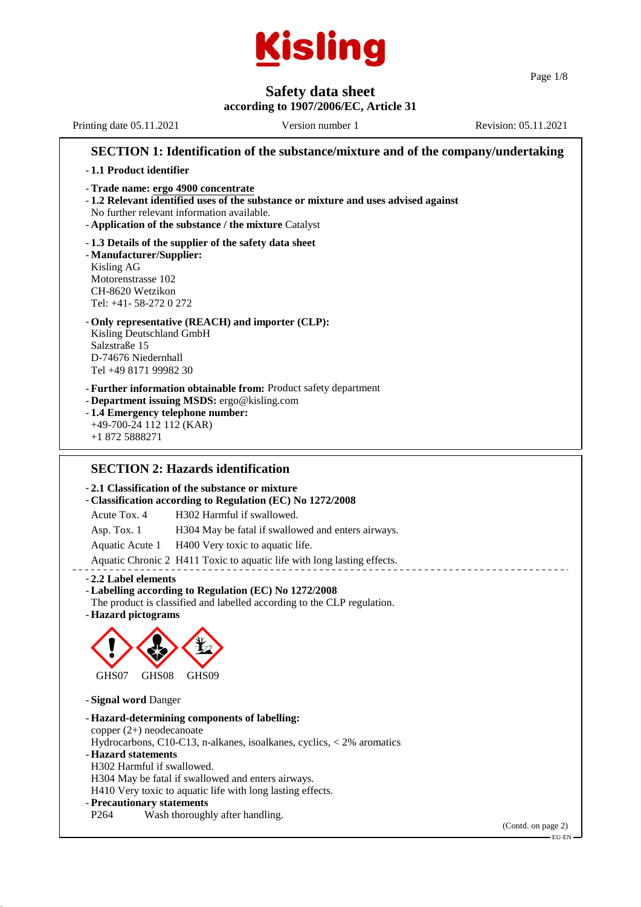

Page 1/8

# **Safety data sheet**

**according to 1907/2006/EC, Article 31** Printing date 05.11.2021 Version number 1 Revision: 05.11.2021

**SECTION 1: Identification of the substance/mixture and of the company/undertaking** - **1.1 Product identifier** - **Trade name: ergo 4900 concentrate** - **1.2 Relevant identified uses of the substance or mixture and uses advised against** No further relevant information available. - **Application of the substance / the mixture** Catalyst - **1.3 Details of the supplier of the safety data sheet** - **Manufacturer/Supplier:** Kisling AG Motorenstrasse 102 CH-8620 Wetzikon Tel: +41- 58-272 0 272 - **Only representative (REACH) and importer (CLP):** Kisling Deutschland GmbH Salzstraße 15 D-74676 Niedernhall Tel +49 8171 99982 30 - **Further information obtainable from:** Product safety department - **Department issuing MSDS:** ergo@kisling.com - **1.4 Emergency telephone number:** +49-700-24 112 112 (KAR) +1 872 5888271 **SECTION 2: Hazards identification** - **2.1 Classification of the substance or mixture** - **Classification according to Regulation (EC) No 1272/2008** Acute Tox. 4 H302 Harmful if swallowed. Asp. Tox. 1 H304 May be fatal if swallowed and enters airways. Aquatic Acute 1 H400 Very toxic to aquatic life. Aquatic Chronic 2 H411 Toxic to aquatic life with long lasting effects. - **2.2 Label elements** - **Labelling according to Regulation (EC) No 1272/2008** The product is classified and labelled according to the CLP regulation. - **Hazard pictograms**  $\langle \cdot \rangle$ GHS<sub>07</sub> **de la commence de la commence de la commence de la commence de la commence de la commence de la commence de la commence de la commence de la commence de la commence de la commence de la commence de la commence de la comme** GHS08 **designal** GHS<sub>09</sub> - **Signal word** Danger - **Hazard-determining components of labelling:** copper (2+) neodecanoate Hydrocarbons, C10-C13, n-alkanes, isoalkanes, cyclics, < 2% aromatics - **Hazard statements** H302 Harmful if swallowed. H304 May be fatal if swallowed and enters airways. H410 Very toxic to aquatic life with long lasting effects. - **Precautionary statements** P264 Wash thoroughly after handling. (Contd. on page 2) EU-EN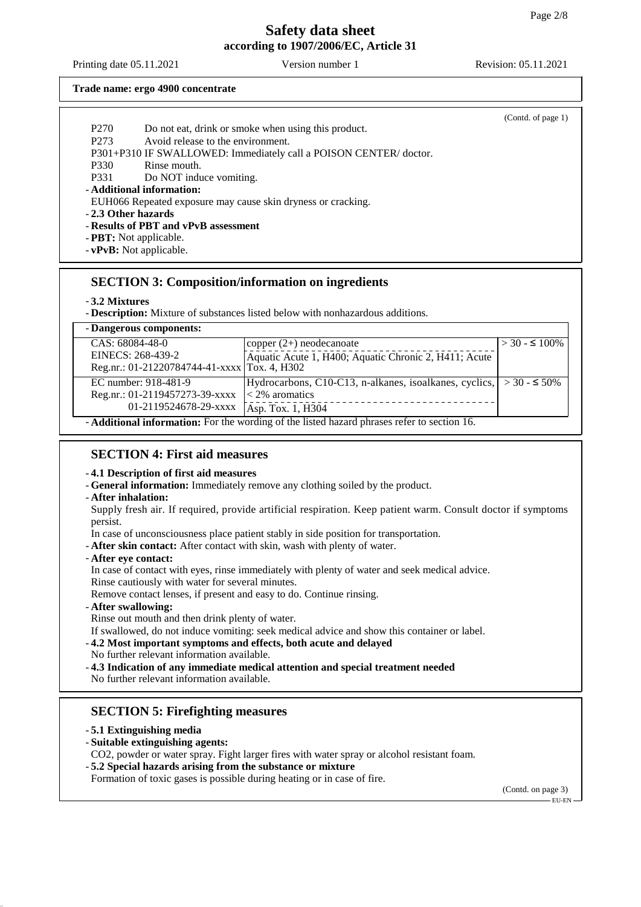Printing date 05.11.2021 Version number 1 Revision: 05.11.2021

#### **Trade name: ergo 4900 concentrate**

|                     |                                                                  | (Contd. of page 1) |
|---------------------|------------------------------------------------------------------|--------------------|
| P <sub>270</sub>    | Do not eat, drink or smoke when using this product.              |                    |
| P <sub>273</sub>    | Avoid release to the environment.                                |                    |
|                     | P301+P310 IF SWALLOWED: Immediately call a POISON CENTER/doctor. |                    |
| P330                | Rinse mouth.                                                     |                    |
| P331                | Do NOT induce vomiting.                                          |                    |
|                     | - Additional information:                                        |                    |
|                     | EUH066 Repeated exposure may cause skin dryness or cracking.     |                    |
| - 2.3 Other hazards |                                                                  |                    |
|                     | - Results of PBT and vPvB assessment                             |                    |
|                     | - <b>PBT</b> : Not applicable.                                   |                    |
|                     | $-$ <b>vPvB</b> : Not applicable.                                |                    |

## **SECTION 3: Composition/information on ingredients**

### - **3.2 Mixtures**

- **Description:** Mixture of substances listed below with nonhazardous additions.

| - Dangerous components:                                                                           |                                                                        |                      |  |  |
|---------------------------------------------------------------------------------------------------|------------------------------------------------------------------------|----------------------|--|--|
| CAS: 68084-48-0                                                                                   | copper $(2+)$ neodecanoate                                             | $>$ 30 - $\leq$ 100% |  |  |
| EINECS: 268-439-2                                                                                 | Aquatic Acute 1, H400; Aquatic Chronic 2, H411; Acute                  |                      |  |  |
| Reg.nr.: 01-21220784744-41-xxxx Tox. 4, H302                                                      |                                                                        |                      |  |  |
| EC number: 918-481-9                                                                              | Hydrocarbons, C10-C13, n-alkanes, isoalkanes, cyclics, $  > 30 - 50\%$ |                      |  |  |
| Reg.nr.: 01-2119457273-39-xxxx                                                                    | $\leq$ 2% aromatics                                                    |                      |  |  |
| 01-2119524678-29-xxxx                                                                             | Asp. Tox. 1, H304                                                      |                      |  |  |
| <b>-Additional information:</b> For the wording of the listed hazard phrases refer to section 16. |                                                                        |                      |  |  |

- **Additional information:** For the wording of the listed hazard phrases refer to section 16.

## **SECTION 4: First aid measures**

### - **4.1 Description of first aid measures**

- **General information:** Immediately remove any clothing soiled by the product.

- **After inhalation:**

Supply fresh air. If required, provide artificial respiration. Keep patient warm. Consult doctor if symptoms persist.

In case of unconsciousness place patient stably in side position for transportation.

- **After skin contact:** After contact with skin, wash with plenty of water.
- **After eye contact:**

In case of contact with eyes, rinse immediately with plenty of water and seek medical advice.

Rinse cautiously with water for several minutes.

Remove contact lenses, if present and easy to do. Continue rinsing.

- **After swallowing:**

Rinse out mouth and then drink plenty of water.

If swallowed, do not induce vomiting: seek medical advice and show this container or label.

- **4.2 Most important symptoms and effects, both acute and delayed**
- No further relevant information available.
- **4.3 Indication of any immediate medical attention and special treatment needed** No further relevant information available.

## **SECTION 5: Firefighting measures**

- **5.1 Extinguishing media**
- **Suitable extinguishing agents:**
- CO2, powder or water spray. Fight larger fires with water spray or alcohol resistant foam.
- **5.2 Special hazards arising from the substance or mixture**

Formation of toxic gases is possible during heating or in case of fire.

(Contd. on page 3)

EU-EN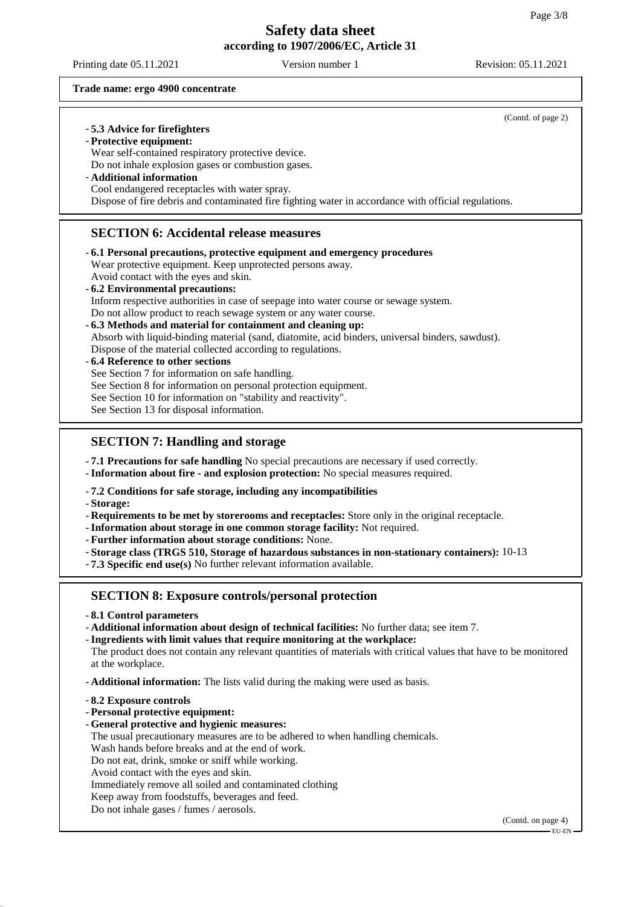Printing date 05.11.2021 Version number 1 Revision: 05.11.2021

(Contd. of page 2)

#### **Trade name: ergo 4900 concentrate**

### - **5.3 Advice for firefighters**

- **Protective equipment:**

Wear self-contained respiratory protective device.

Do not inhale explosion gases or combustion gases.

- **Additional information**

Cool endangered receptacles with water spray.

Dispose of fire debris and contaminated fire fighting water in accordance with official regulations.

### **SECTION 6: Accidental release measures**

- **6.1 Personal precautions, protective equipment and emergency procedures** Wear protective equipment. Keep unprotected persons away. Avoid contact with the eyes and skin.
- **6.2 Environmental precautions:** Inform respective authorities in case of seepage into water course or sewage system. Do not allow product to reach sewage system or any water course.
- **6.3 Methods and material for containment and cleaning up:**
- Absorb with liquid-binding material (sand, diatomite, acid binders, universal binders, sawdust). Dispose of the material collected according to regulations.

### - **6.4 Reference to other sections**

See Section 7 for information on safe handling.

See Section 8 for information on personal protection equipment.

See Section 10 for information on "stability and reactivity".

See Section 13 for disposal information.

## **SECTION 7: Handling and storage**

- **7.1 Precautions for safe handling** No special precautions are necessary if used correctly.

- **Information about fire - and explosion protection:** No special measures required.

### - **7.2 Conditions for safe storage, including any incompatibilities**

- **Storage:**

- **Requirements to be met by storerooms and receptacles:** Store only in the original receptacle.

- **Information about storage in one common storage facility:** Not required.
- **Further information about storage conditions:** None.

- **Storage class (TRGS 510, Storage of hazardous substances in non-stationary containers):** 10-13

- **7.3 Specific end use(s)** No further relevant information available.

## **SECTION 8: Exposure controls/personal protection**

- **8.1 Control parameters**
- **Additional information about design of technical facilities:** No further data; see item 7.

- **Ingredients with limit values that require monitoring at the workplace:**

The product does not contain any relevant quantities of materials with critical values that have to be monitored at the workplace.

- **Additional information:** The lists valid during the making were used as basis.

- **8.2 Exposure controls**
- **Personal protective equipment:**
- **General protective and hygienic measures:** The usual precautionary measures are to be adhered to when handling chemicals. Wash hands before breaks and at the end of work. Do not eat, drink, smoke or sniff while working.
- Avoid contact with the eyes and skin.

Immediately remove all soiled and contaminated clothing

- Keep away from foodstuffs, beverages and feed.
- Do not inhale gases / fumes / aerosols.

(Contd. on page 4)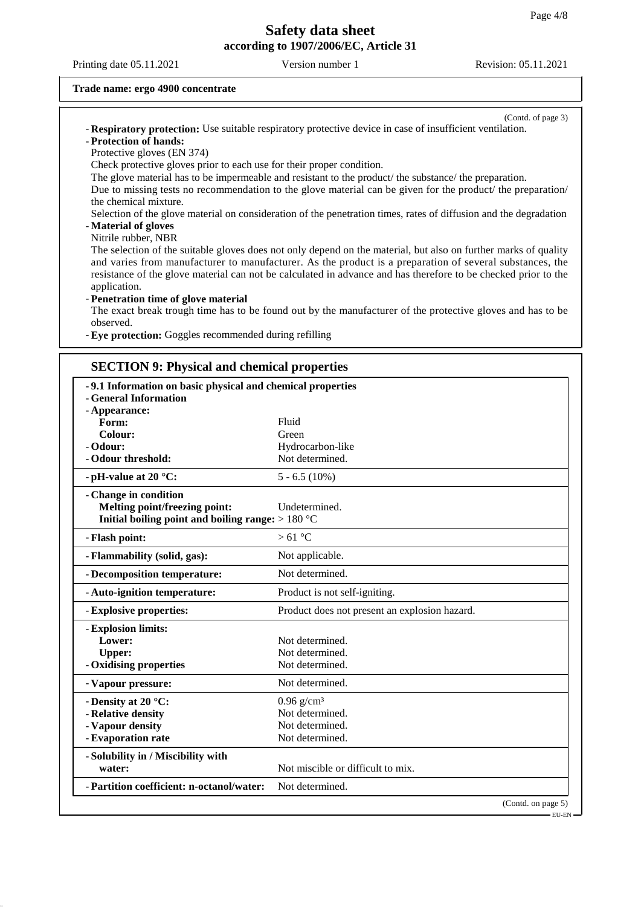Printing date 05.11.2021 Version number 1 Revision: 05.11.2021

#### **Trade name: ergo 4900 concentrate**

(Contd. of page 3) - **Respiratory protection:** Use suitable respiratory protective device in case of insufficient ventilation. - **Protection of hands:**

Protective gloves (EN 374)

Check protective gloves prior to each use for their proper condition.

The glove material has to be impermeable and resistant to the product/ the substance/ the preparation.

Due to missing tests no recommendation to the glove material can be given for the product/ the preparation/ the chemical mixture.

Selection of the glove material on consideration of the penetration times, rates of diffusion and the degradation - **Material of gloves**

#### Nitrile rubber, NBR

The selection of the suitable gloves does not only depend on the material, but also on further marks of quality and varies from manufacturer to manufacturer. As the product is a preparation of several substances, the resistance of the glove material can not be calculated in advance and has therefore to be checked prior to the application.

#### - **Penetration time of glove material**

The exact break trough time has to be found out by the manufacturer of the protective gloves and has to be observed.

- **Eye protection:** Goggles recommended during refilling

### **SECTION 9: Physical and chemical properties**

| -9.1 Information on basic physical and chemical properties |                                               |  |  |  |
|------------------------------------------------------------|-----------------------------------------------|--|--|--|
| - General Information                                      |                                               |  |  |  |
| - Appearance:                                              |                                               |  |  |  |
| Form:                                                      | Fluid                                         |  |  |  |
| Colour:                                                    | Green                                         |  |  |  |
| - Odour:                                                   | Hydrocarbon-like                              |  |  |  |
| - Odour threshold:                                         | Not determined.                               |  |  |  |
| - pH-value at 20 $^{\circ}$ C:                             | $5 - 6.5(10\%)$                               |  |  |  |
| - Change in condition                                      |                                               |  |  |  |
| Melting point/freezing point:                              | Undetermined.                                 |  |  |  |
| Initial boiling point and boiling range: $>180 °C$         |                                               |  |  |  |
| - Flash point:                                             | $>61^{\circ}$ C                               |  |  |  |
| - Flammability (solid, gas):                               | Not applicable.                               |  |  |  |
| - Decomposition temperature:                               | Not determined.                               |  |  |  |
| - Auto-ignition temperature:                               | Product is not self-igniting.                 |  |  |  |
| - Explosive properties:                                    | Product does not present an explosion hazard. |  |  |  |
| - Explosion limits:                                        |                                               |  |  |  |
| Lower:                                                     | Not determined.                               |  |  |  |
| <b>Upper:</b>                                              | Not determined.                               |  |  |  |
| - Oxidising properties                                     | Not determined.                               |  |  |  |
| - Vapour pressure:                                         | Not determined.                               |  |  |  |
| - Density at 20 °C:                                        | $0.96$ g/cm <sup>3</sup>                      |  |  |  |
| - Relative density                                         | Not determined.                               |  |  |  |
| - Vapour density                                           | Not determined.                               |  |  |  |
| - Evaporation rate                                         | Not determined.                               |  |  |  |
| - Solubility in / Miscibility with                         |                                               |  |  |  |
| water:                                                     | Not miscible or difficult to mix.             |  |  |  |
| - Partition coefficient: n-octanol/water:                  | Not determined.                               |  |  |  |
|                                                            | (Contd. on page 5)                            |  |  |  |

EU-EN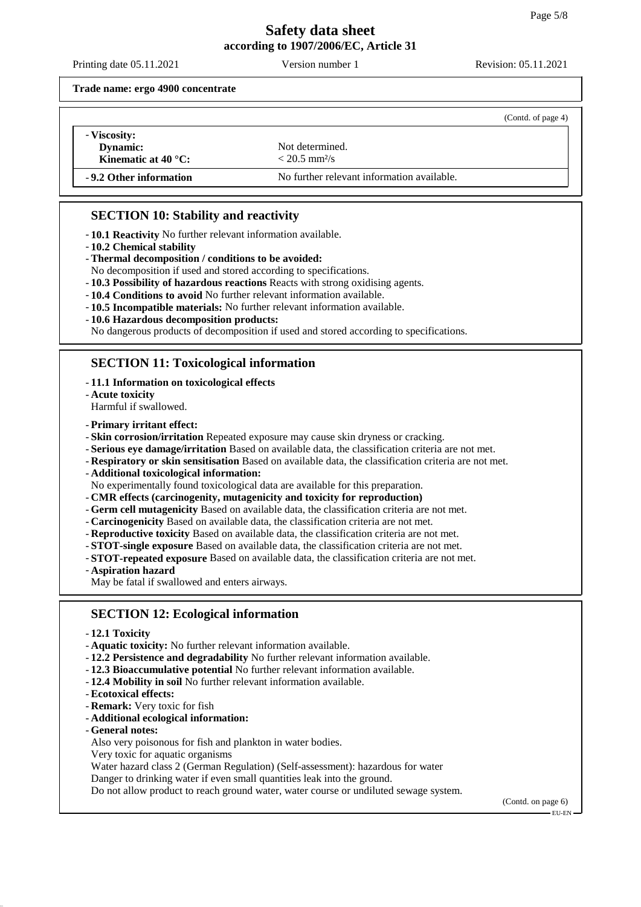Printing date 05.11.2021 Version number 1 Revision: 05.11.2021

**Trade name: ergo 4900 concentrate**

|                                                                      |                                                | (Contd. of page 4) |
|----------------------------------------------------------------------|------------------------------------------------|--------------------|
| - Viscosity:<br>Dynamic:<br><b>Kinematic at 40 °C:</b>               | Not determined.<br>$< 20.5$ mm <sup>2</sup> /s |                    |
| -9.2 Other information<br>No further relevant information available. |                                                |                    |

## **SECTION 10: Stability and reactivity**

- **10.1 Reactivity** No further relevant information available.

- **10.2 Chemical stability**
- **Thermal decomposition / conditions to be avoided:**

No decomposition if used and stored according to specifications.

- **10.3 Possibility of hazardous reactions** Reacts with strong oxidising agents.
- **10.4 Conditions to avoid** No further relevant information available.
- **10.5 Incompatible materials:** No further relevant information available.
- **10.6 Hazardous decomposition products:**

No dangerous products of decomposition if used and stored according to specifications.

## **SECTION 11: Toxicological information**

- **11.1 Information on toxicological effects**
- **Acute toxicity**

Harmful if swallowed.

- **Primary irritant effect:**

- **Skin corrosion/irritation** Repeated exposure may cause skin dryness or cracking.
- **Serious eye damage/irritation** Based on available data, the classification criteria are not met.
- **Respiratory or skin sensitisation** Based on available data, the classification criteria are not met.
- **Additional toxicological information:**
- No experimentally found toxicological data are available for this preparation.
- **CMR effects (carcinogenity, mutagenicity and toxicity for reproduction)**
- **Germ cell mutagenicity** Based on available data, the classification criteria are not met.
- **Carcinogenicity** Based on available data, the classification criteria are not met.
- **Reproductive toxicity** Based on available data, the classification criteria are not met.
- **STOT-single exposure** Based on available data, the classification criteria are not met.
- **STOT-repeated exposure** Based on available data, the classification criteria are not met.
- **Aspiration hazard**
- May be fatal if swallowed and enters airways.

## **SECTION 12: Ecological information**

- **12.1 Toxicity**
- **Aquatic toxicity:** No further relevant information available.
- **12.2 Persistence and degradability** No further relevant information available.
- **12.3 Bioaccumulative potential** No further relevant information available.
- **12.4 Mobility in soil** No further relevant information available.
- **Ecotoxical effects:**
- **Remark:** Very toxic for fish
- **Additional ecological information:**
- **General notes:**
- Also very poisonous for fish and plankton in water bodies.
- Very toxic for aquatic organisms

Water hazard class 2 (German Regulation) (Self-assessment): hazardous for water

Danger to drinking water if even small quantities leak into the ground.

Do not allow product to reach ground water, water course or undiluted sewage system.

(Contd. on page 6) EU-EN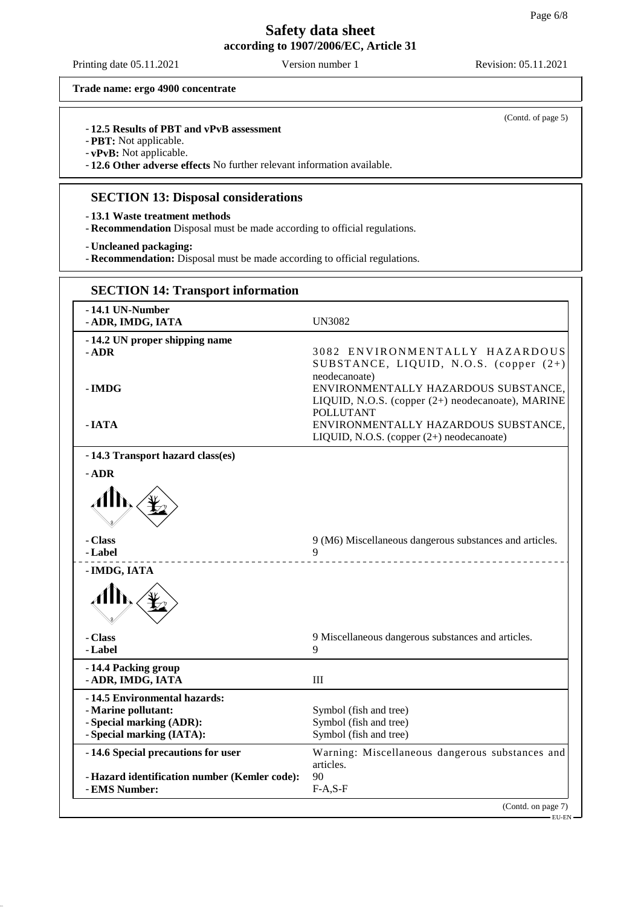Printing date 05.11.2021 Version number 1 Revision: 05.11.2021

(Contd. of page 5)

**Trade name: ergo 4900 concentrate**

### - **12.5 Results of PBT and vPvB assessment**

- **PBT:** Not applicable.

- **vPvB:** Not applicable.

- **12.6 Other adverse effects** No further relevant information available.

## **SECTION 13: Disposal considerations**

- **13.1 Waste treatment methods**

- **Recommendation** Disposal must be made according to official regulations.

- **Uncleaned packaging:**

- **Recommendation:** Disposal must be made according to official regulations.

| <b>SECTION 14: Transport information</b>                                        |                                                                                                               |
|---------------------------------------------------------------------------------|---------------------------------------------------------------------------------------------------------------|
| -14.1 UN-Number<br>- ADR, IMDG, IATA                                            | <b>UN3082</b>                                                                                                 |
| - 14.2 UN proper shipping name<br>- ADR                                         | 3082 ENVIRONMENTALLY HAZARDOUS<br>SUBSTANCE, LIQUID, N.O.S. (copper (2+)<br>neodecanoate)                     |
| - IMDG                                                                          | ENVIRONMENTALLY HAZARDOUS SUBSTANCE.<br>LIQUID, N.O.S. (copper (2+) neodecanoate), MARINE<br><b>POLLUTANT</b> |
| - IATA                                                                          | ENVIRONMENTALLY HAZARDOUS SUBSTANCE,<br>LIQUID, N.O.S. (copper (2+) neodecanoate)                             |
| -14.3 Transport hazard class(es)                                                |                                                                                                               |
| $-$ ADR                                                                         |                                                                                                               |
|                                                                                 |                                                                                                               |
| - Class<br>- Label                                                              | 9 (M6) Miscellaneous dangerous substances and articles.<br>9                                                  |
| - IMDG, IATA                                                                    |                                                                                                               |
| Alb                                                                             |                                                                                                               |
| - Class<br>- Label                                                              | 9 Miscellaneous dangerous substances and articles.<br>9                                                       |
| -14.4 Packing group<br>- ADR, IMDG, IATA                                        | III                                                                                                           |
| -14.5 Environmental hazards:<br>- Marine pollutant:<br>- Special marking (ADR): | Symbol (fish and tree)<br>Symbol (fish and tree)                                                              |
| - Special marking (IATA):                                                       | Symbol (fish and tree)                                                                                        |
| -14.6 Special precautions for user                                              | Warning: Miscellaneous dangerous substances and<br>articles.                                                  |
| - Hazard identification number (Kemler code):<br>- EMS Number:                  | 90<br>$F-A, S-F$                                                                                              |
|                                                                                 | (Contd. on page 7)                                                                                            |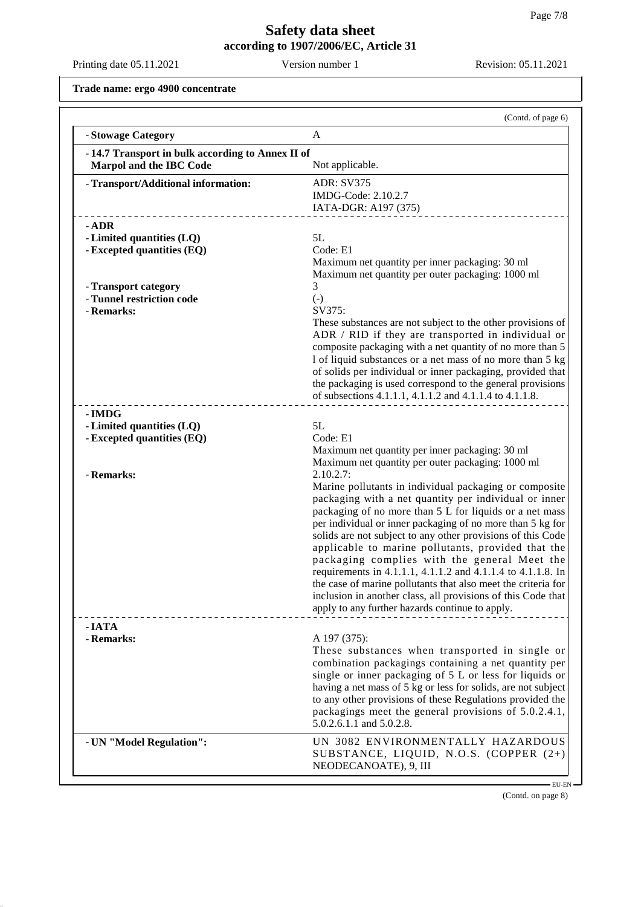Printing date 05.11.2021 Version number 1 Revision: 05.11.2021

**Trade name: ergo 4900 concentrate**

|                                                                             | (Contd. of page 6)                                                                                                                                                                                                                                                                                                                                                                                                                                                                                                                                                                                                                                                                                                                                                                    |
|-----------------------------------------------------------------------------|---------------------------------------------------------------------------------------------------------------------------------------------------------------------------------------------------------------------------------------------------------------------------------------------------------------------------------------------------------------------------------------------------------------------------------------------------------------------------------------------------------------------------------------------------------------------------------------------------------------------------------------------------------------------------------------------------------------------------------------------------------------------------------------|
| - Stowage Category                                                          | A                                                                                                                                                                                                                                                                                                                                                                                                                                                                                                                                                                                                                                                                                                                                                                                     |
| -14.7 Transport in bulk according to Annex II of<br>Marpol and the IBC Code | Not applicable.                                                                                                                                                                                                                                                                                                                                                                                                                                                                                                                                                                                                                                                                                                                                                                       |
| - Transport/Additional information:                                         | <b>ADR: SV375</b><br>IMDG-Code: 2.10.2.7<br>IATA-DGR: A197 (375)                                                                                                                                                                                                                                                                                                                                                                                                                                                                                                                                                                                                                                                                                                                      |
| $-$ ADR<br>- Limited quantities (LQ)<br>- Excepted quantities (EQ)          | 5L<br>Code: E1<br>Maximum net quantity per inner packaging: 30 ml                                                                                                                                                                                                                                                                                                                                                                                                                                                                                                                                                                                                                                                                                                                     |
| - Transport category<br>- Tunnel restriction code<br>- Remarks:             | Maximum net quantity per outer packaging: 1000 ml<br>3<br>$(-)$<br>SV375:<br>These substances are not subject to the other provisions of<br>ADR / RID if they are transported in individual or<br>composite packaging with a net quantity of no more than 5<br>1 of liquid substances or a net mass of no more than 5 kg<br>of solids per individual or inner packaging, provided that<br>the packaging is used correspond to the general provisions<br>of subsections 4.1.1.1, 4.1.1.2 and 4.1.1.4 to 4.1.1.8.                                                                                                                                                                                                                                                                       |
| - IMDG<br>- Limited quantities (LQ)<br>- Excepted quantities (EQ)           | 5L<br>Code: E1                                                                                                                                                                                                                                                                                                                                                                                                                                                                                                                                                                                                                                                                                                                                                                        |
| - Remarks:                                                                  | Maximum net quantity per inner packaging: 30 ml<br>Maximum net quantity per outer packaging: 1000 ml<br>2.10.2.7:<br>Marine pollutants in individual packaging or composite<br>packaging with a net quantity per individual or inner<br>packaging of no more than 5 L for liquids or a net mass<br>per individual or inner packaging of no more than 5 kg for<br>solids are not subject to any other provisions of this Code<br>applicable to marine pollutants, provided that the<br>packaging complies with the general Meet the<br>requirements in 4.1.1.1, 4.1.1.2 and 4.1.1.4 to 4.1.1.8. In<br>the case of marine pollutants that also meet the criteria for<br>inclusion in another class, all provisions of this Code that<br>apply to any further hazards continue to apply. |
| - IATA<br>- Remarks:                                                        | A 197 (375):<br>These substances when transported in single or<br>combination packagings containing a net quantity per<br>single or inner packaging of 5 L or less for liquids or<br>having a net mass of 5 kg or less for solids, are not subject<br>to any other provisions of these Regulations provided the<br>packagings meet the general provisions of 5.0.2.4.1,<br>5.0.2.6.1.1 and 5.0.2.8.                                                                                                                                                                                                                                                                                                                                                                                   |
| - UN "Model Regulation":                                                    | UN 3082 ENVIRONMENTALLY HAZARDOUS<br>SUBSTANCE, LIQUID, N.O.S. (COPPER (2+)<br>NEODECANOATE), 9, III                                                                                                                                                                                                                                                                                                                                                                                                                                                                                                                                                                                                                                                                                  |

(Contd. on page 8)